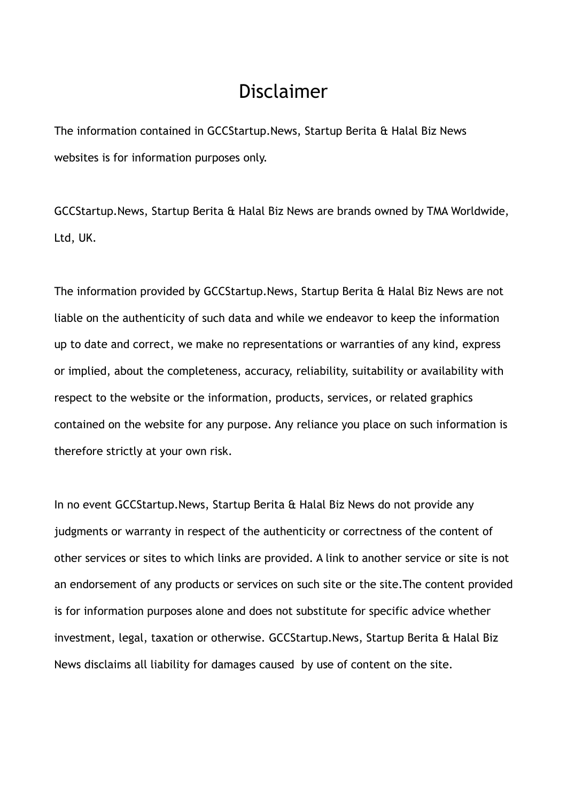## Disclaimer

The information contained in GCCStartup.News, Startup Berita & Halal Biz News websites is for information purposes only.

GCCStartup.News, Startup Berita & Halal Biz News are brands owned by TMA Worldwide, Ltd, UK.

The information provided by GCCStartup.News, Startup Berita & Halal Biz News are not liable on the authenticity of such data and while we endeavor to keep the information up to date and correct, we make no representations or warranties of any kind, express or implied, about the completeness, accuracy, reliability, suitability or availability with respect to the website or the information, products, services, or related graphics contained on the website for any purpose. Any reliance you place on such information is therefore strictly at your own risk.

In no event GCCStartup.News, Startup Berita & Halal Biz News do not provide any judgments or warranty in respect of the authenticity or correctness of the content of other services or sites to which links are provided. A link to another service or site is not an endorsement of any products or services on such site or the site.The content provided is for information purposes alone and does not substitute for specific advice whether investment, legal, taxation or otherwise. GCCStartup.News, Startup Berita & Halal Biz News disclaims all liability for damages caused by use of content on the site.